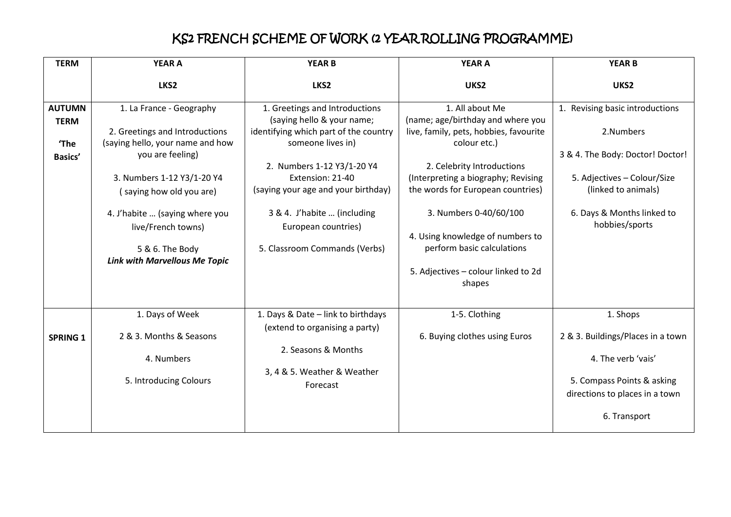## KS2 FRENCH SCHEME OF WORK (2 YEAR ROLLING PROGRAMME)

| <b>TERM</b>                  | <b>YEAR A</b>                                                                                                                      | <b>YEAR B</b>                                                                                                                               | <b>YEAR A</b>                                                                                                                                                        | <b>YEAR B</b>                                                                                                                          |
|------------------------------|------------------------------------------------------------------------------------------------------------------------------------|---------------------------------------------------------------------------------------------------------------------------------------------|----------------------------------------------------------------------------------------------------------------------------------------------------------------------|----------------------------------------------------------------------------------------------------------------------------------------|
|                              | LKS2                                                                                                                               | LKS2                                                                                                                                        | UKS2                                                                                                                                                                 | UKS2                                                                                                                                   |
| <b>AUTUMN</b><br><b>TERM</b> | 1. La France - Geography                                                                                                           | 1. Greetings and Introductions<br>(saying hello & your name;                                                                                | 1. All about Me<br>(name; age/birthday and where you                                                                                                                 | 1. Revising basic introductions                                                                                                        |
| 'The                         | 2. Greetings and Introductions<br>(saying hello, your name and how                                                                 | identifying which part of the country<br>someone lives in)                                                                                  | live, family, pets, hobbies, favourite<br>colour etc.)                                                                                                               | 2.Numbers                                                                                                                              |
| Basics'                      | you are feeling)<br>3. Numbers 1-12 Y3/1-20 Y4<br>(saying how old you are)<br>4. J'habite  (saying where you<br>live/French towns) | 2. Numbers 1-12 Y3/1-20 Y4<br>Extension: 21-40<br>(saying your age and your birthday)<br>3 & 4. J'habite  (including<br>European countries) | 2. Celebrity Introductions<br>(Interpreting a biography; Revising<br>the words for European countries)<br>3. Numbers 0-40/60/100<br>4. Using knowledge of numbers to | 3 & 4. The Body: Doctor! Doctor!<br>5. Adjectives - Colour/Size<br>(linked to animals)<br>6. Days & Months linked to<br>hobbies/sports |
|                              | 5 & 6. The Body<br><b>Link with Marvellous Me Topic</b>                                                                            | 5. Classroom Commands (Verbs)                                                                                                               | perform basic calculations<br>5. Adjectives - colour linked to 2d<br>shapes                                                                                          |                                                                                                                                        |
| <b>SPRING 1</b>              | 1. Days of Week<br>2 & 3. Months & Seasons<br>4. Numbers                                                                           | 1. Days & Date - link to birthdays<br>(extend to organising a party)<br>2. Seasons & Months<br>3, 4 & 5. Weather & Weather                  | 1-5. Clothing<br>6. Buying clothes using Euros                                                                                                                       | 1. Shops<br>2 & 3. Buildings/Places in a town<br>4. The verb 'vais'                                                                    |
|                              | 5. Introducing Colours                                                                                                             | Forecast                                                                                                                                    |                                                                                                                                                                      | 5. Compass Points & asking<br>directions to places in a town<br>6. Transport                                                           |